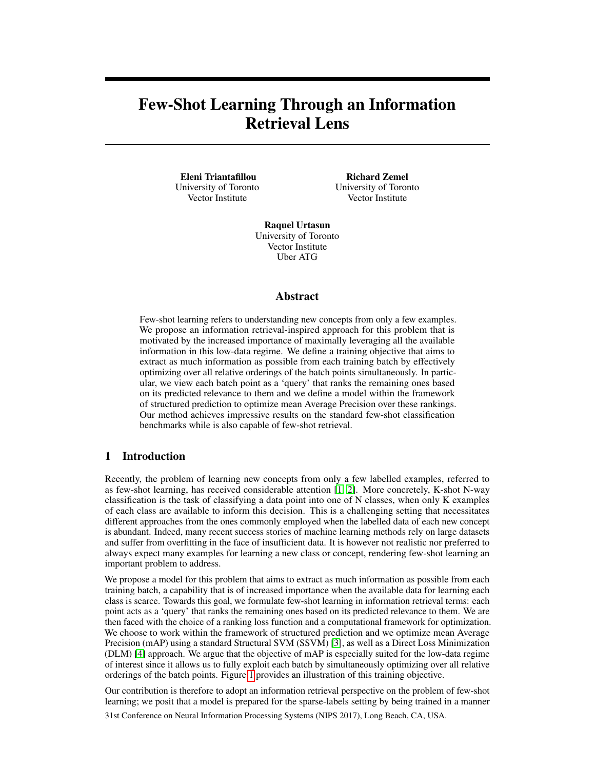# Few-Shot Learning Through an Information Retrieval Lens

Eleni Triantafillou University of Toronto Vector Institute

Richard Zemel University of Toronto Vector Institute

Raquel Urtasun University of Toronto Vector Institute Uber ATG

# Abstract

Few-shot learning refers to understanding new concepts from only a few examples. We propose an information retrieval-inspired approach for this problem that is motivated by the increased importance of maximally leveraging all the available information in this low-data regime. We define a training objective that aims to extract as much information as possible from each training batch by effectively optimizing over all relative orderings of the batch points simultaneously. In particular, we view each batch point as a 'query' that ranks the remaining ones based on its predicted relevance to them and we define a model within the framework of structured prediction to optimize mean Average Precision over these rankings. Our method achieves impressive results on the standard few-shot classification benchmarks while is also capable of few-shot retrieval.

# 1 Introduction

Recently, the problem of learning new concepts from only a few labelled examples, referred to as few-shot learning, has received considerable attention [\[1,](#page-9-0) [2\]](#page-9-1). More concretely, K-shot N-way classification is the task of classifying a data point into one of N classes, when only K examples of each class are available to inform this decision. This is a challenging setting that necessitates different approaches from the ones commonly employed when the labelled data of each new concept is abundant. Indeed, many recent success stories of machine learning methods rely on large datasets and suffer from overfitting in the face of insufficient data. It is however not realistic nor preferred to always expect many examples for learning a new class or concept, rendering few-shot learning an important problem to address.

We propose a model for this problem that aims to extract as much information as possible from each training batch, a capability that is of increased importance when the available data for learning each class is scarce. Towards this goal, we formulate few-shot learning in information retrieval terms: each point acts as a 'query' that ranks the remaining ones based on its predicted relevance to them. We are then faced with the choice of a ranking loss function and a computational framework for optimization. We choose to work within the framework of structured prediction and we optimize mean Average Precision (mAP) using a standard Structural SVM (SSVM) [\[3\]](#page-9-2), as well as a Direct Loss Minimization (DLM) [\[4\]](#page-9-3) approach. We argue that the objective of mAP is especially suited for the low-data regime of interest since it allows us to fully exploit each batch by simultaneously optimizing over all relative orderings of the batch points. Figure [1](#page-1-0) provides an illustration of this training objective.

Our contribution is therefore to adopt an information retrieval perspective on the problem of few-shot learning; we posit that a model is prepared for the sparse-labels setting by being trained in a manner

31st Conference on Neural Information Processing Systems (NIPS 2017), Long Beach, CA, USA.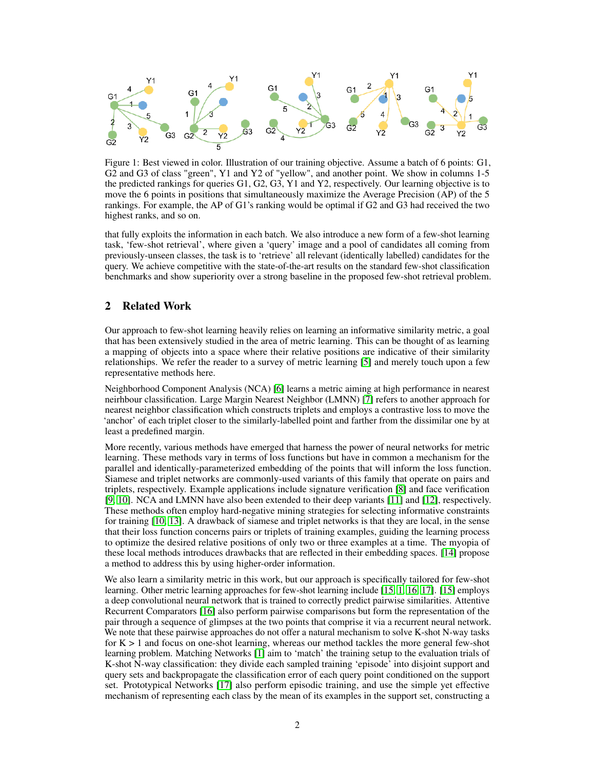<span id="page-1-0"></span>

Figure 1: Best viewed in color. Illustration of our training objective. Assume a batch of 6 points: G1, G2 and G3 of class "green", Y1 and Y2 of "yellow", and another point. We show in columns 1-5 the predicted rankings for queries G1, G2, G3, Y1 and Y2, respectively. Our learning objective is to move the 6 points in positions that simultaneously maximize the Average Precision (AP) of the 5 rankings. For example, the AP of G1's ranking would be optimal if G2 and G3 had received the two highest ranks, and so on.

that fully exploits the information in each batch. We also introduce a new form of a few-shot learning task, 'few-shot retrieval', where given a 'query' image and a pool of candidates all coming from previously-unseen classes, the task is to 'retrieve' all relevant (identically labelled) candidates for the query. We achieve competitive with the state-of-the-art results on the standard few-shot classification benchmarks and show superiority over a strong baseline in the proposed few-shot retrieval problem.

# 2 Related Work

Our approach to few-shot learning heavily relies on learning an informative similarity metric, a goal that has been extensively studied in the area of metric learning. This can be thought of as learning a mapping of objects into a space where their relative positions are indicative of their similarity relationships. We refer the reader to a survey of metric learning [\[5\]](#page-9-4) and merely touch upon a few representative methods here.

Neighborhood Component Analysis (NCA) [\[6\]](#page-9-5) learns a metric aiming at high performance in nearest neirhbour classification. Large Margin Nearest Neighbor (LMNN) [\[7\]](#page-9-6) refers to another approach for nearest neighbor classification which constructs triplets and employs a contrastive loss to move the 'anchor' of each triplet closer to the similarly-labelled point and farther from the dissimilar one by at least a predefined margin.

More recently, various methods have emerged that harness the power of neural networks for metric learning. These methods vary in terms of loss functions but have in common a mechanism for the parallel and identically-parameterized embedding of the points that will inform the loss function. Siamese and triplet networks are commonly-used variants of this family that operate on pairs and triplets, respectively. Example applications include signature verification [\[8\]](#page-9-7) and face verification [\[9,](#page-9-8) [10\]](#page-9-9). NCA and LMNN have also been extended to their deep variants [\[11\]](#page-9-10) and [\[12\]](#page-9-11), respectively. These methods often employ hard-negative mining strategies for selecting informative constraints for training [\[10,](#page-9-9) [13\]](#page-9-12). A drawback of siamese and triplet networks is that they are local, in the sense that their loss function concerns pairs or triplets of training examples, guiding the learning process to optimize the desired relative positions of only two or three examples at a time. The myopia of these local methods introduces drawbacks that are reflected in their embedding spaces. [\[14\]](#page-9-13) propose a method to address this by using higher-order information.

We also learn a similarity metric in this work, but our approach is specifically tailored for few-shot learning. Other metric learning approaches for few-shot learning include [\[15,](#page-9-14) [1,](#page-9-0) [16,](#page-9-15) [17\]](#page-9-16). [\[15\]](#page-9-14) employs a deep convolutional neural network that is trained to correctly predict pairwise similarities. Attentive Recurrent Comparators [\[16\]](#page-9-15) also perform pairwise comparisons but form the representation of the pair through a sequence of glimpses at the two points that comprise it via a recurrent neural network. We note that these pairwise approaches do not offer a natural mechanism to solve K-shot N-way tasks for  $K > 1$  and focus on one-shot learning, whereas our method tackles the more general few-shot learning problem. Matching Networks [\[1\]](#page-9-0) aim to 'match' the training setup to the evaluation trials of K-shot N-way classification: they divide each sampled training 'episode' into disjoint support and query sets and backpropagate the classification error of each query point conditioned on the support set. Prototypical Networks [\[17\]](#page-9-16) also perform episodic training, and use the simple yet effective mechanism of representing each class by the mean of its examples in the support set, constructing a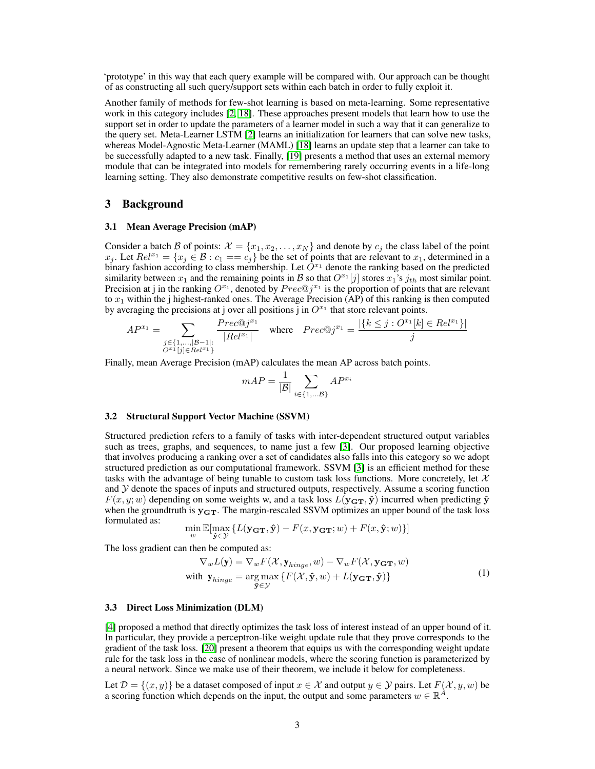'prototype' in this way that each query example will be compared with. Our approach can be thought of as constructing all such query/support sets within each batch in order to fully exploit it.

Another family of methods for few-shot learning is based on meta-learning. Some representative work in this category includes [\[2,](#page-9-1) [18\]](#page-9-17). These approaches present models that learn how to use the support set in order to update the parameters of a learner model in such a way that it can generalize to the query set. Meta-Learner LSTM [\[2\]](#page-9-1) learns an initialization for learners that can solve new tasks, whereas Model-Agnostic Meta-Learner (MAML) [\[18\]](#page-9-17) learns an update step that a learner can take to be successfully adapted to a new task. Finally, [\[19\]](#page-9-18) presents a method that uses an external memory module that can be integrated into models for remembering rarely occurring events in a life-long learning setting. They also demonstrate competitive results on few-shot classification.

## 3 Background

### 3.1 Mean Average Precision (mAP)

Consider a batch B of points:  $\mathcal{X} = \{x_1, x_2, \dots, x_N\}$  and denote by  $c_j$  the class label of the point  $x_j$ . Let  $Rel^{x_1} = \{x_j \in \mathcal{B} : c_1 == c_j\}$  be the set of points that are relevant to  $x_1$ , determined in a binary fashion according to class membership. Let  $O^{x_1}$  denote the ranking based on the predicted similarity between  $x_1$  and the remaining points in B so that  $O^{x_1}[j]$  stores  $x_1$ 's  $j_{th}$  most similar point. Precision at j in the ranking  $O^{x_1}$ , denoted by  $Prec@j^{x_1}$  is the proportion of points that are relevant to  $x_1$  within the j highest-ranked ones. The Average Precision (AP) of this ranking is then computed by averaging the precisions at j over all positions  $\overline{j}$  in  $O^{x_1}$  that store relevant points.

$$
AP^{x_1} = \sum_{\substack{j \in \{1, \dots, |B-1|:\ j \in Rel^{x_1}\} \\ O^{x_1}[j] \in Rel^{x_1}}} \frac{Prec@j^{x_1}}{|Rel^{x_1}|} \quad \text{where} \quad Prec@j^{x_1} = \frac{|\{k \le j : O^{x_1}[k] \in Rel^{x_1}\}|}{j}
$$

Finally, mean Average Precision (mAP) calculates the mean AP across batch points.

<span id="page-2-0"></span>
$$
mAP = \frac{1}{|\mathcal{B}|} \sum_{i \in \{1, \dots \mathcal{B}\}} AP^{x_i}
$$

#### 3.2 Structural Support Vector Machine (SSVM)

Structured prediction refers to a family of tasks with inter-dependent structured output variables such as trees, graphs, and sequences, to name just a few [\[3\]](#page-9-2). Our proposed learning objective that involves producing a ranking over a set of candidates also falls into this category so we adopt structured prediction as our computational framework. SSVM [\[3\]](#page-9-2) is an efficient method for these tasks with the advantage of being tunable to custom task loss functions. More concretely, let  $\mathcal{X}$ and  $\mathcal Y$  denote the spaces of inputs and structured outputs, respectively. Assume a scoring function  $F(x, y; w)$  depending on some weights w, and a task loss  $L(y_{\text{GT}}, \hat{y})$  incurred when predicting  $\hat{y}$ when the groundtruth is  $y_{GT}$ . The margin-rescaled SSVM optimizes an upper bound of the task loss formulated as:

$$
\min_{w}\mathbb{E}[\max_{\hat{\mathbf{y}}\in\mathcal{Y}}\left\{L(\mathbf{y_{GT}}, \hat{\mathbf{y}}) - F(x, \mathbf{y_{GT}}; w) + F(x, \hat{\mathbf{y}}; w)\right\}]
$$

The loss gradient can then be computed as:

$$
\nabla_w L(\mathbf{y}) = \nabla_w F(\mathcal{X}, \mathbf{y}_{hinge}, w) - \nabla_w F(\mathcal{X}, \mathbf{y}_{\mathbf{GT}}, w)
$$
  
with  $\mathbf{y}_{hinge} = \underset{\mathbf{\hat{y}} \in \mathcal{Y}}{\arg \max} \{ F(\mathcal{X}, \mathbf{\hat{y}}, w) + L(\mathbf{y}_{\mathbf{GT}}, \mathbf{\hat{y}}) \}$  (1)

#### 3.3 Direct Loss Minimization (DLM)

[\[4\]](#page-9-3) proposed a method that directly optimizes the task loss of interest instead of an upper bound of it. In particular, they provide a perceptron-like weight update rule that they prove corresponds to the gradient of the task loss. [\[20\]](#page-9-19) present a theorem that equips us with the corresponding weight update rule for the task loss in the case of nonlinear models, where the scoring function is parameterized by a neural network. Since we make use of their theorem, we include it below for completeness.

Let  $\mathcal{D} = \{(x, y)\}\$  be a dataset composed of input  $x \in \mathcal{X}$  and output  $y \in \mathcal{Y}$  pairs. Let  $F(\mathcal{X}, y, w)$  be a scoring function which depends on the input, the output and some parameters  $w \in \mathbb{R}^A$ .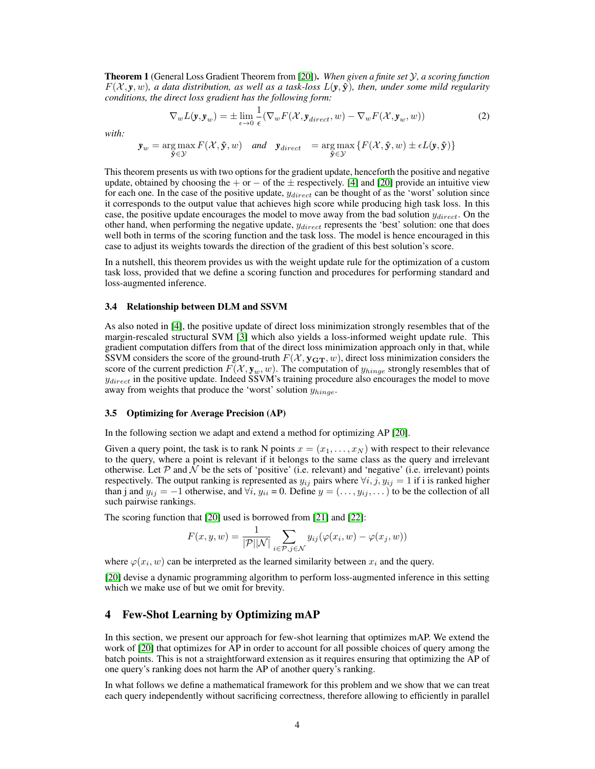Theorem 1 (General Loss Gradient Theorem from [\[20\]](#page-9-19)). *When given a finite set* Y*, a scoring function*  $F(\mathcal{X}, \mathbf{y}, w)$ , a data distribution, as well as a task-loss  $L(\mathbf{y}, \hat{\mathbf{y}})$ , then, under some mild regularity *conditions, the direct loss gradient has the following form:*

<span id="page-3-0"></span>
$$
\nabla_w L(\mathbf{y}, \mathbf{y}_w) = \pm \lim_{\epsilon \to 0} \frac{1}{\epsilon} (\nabla_w F(\mathcal{X}, \mathbf{y}_{direct}, w) - \nabla_w F(\mathcal{X}, \mathbf{y}_w, w)) \tag{2}
$$

*with:*

$$
\mathbf{y}_w = \underset{\mathbf{\hat{y}} \in \mathcal{Y}}{\arg \max} F(\mathcal{X}, \mathbf{\hat{y}}, w) \quad and \quad \mathbf{y}_{direct} = \underset{\mathbf{\hat{y}} \in \mathcal{Y}}{\arg \max} \{ F(\mathcal{X}, \mathbf{\hat{y}}, w) \pm \epsilon L(\mathbf{y}, \mathbf{\hat{y}}) \}
$$

This theorem presents us with two options for the gradient update, henceforth the positive and negative update, obtained by choosing the + or  $-$  of the  $\pm$  respectively. [\[4\]](#page-9-3) and [\[20\]](#page-9-19) provide an intuitive view for each one. In the case of the positive update,  $y_{direct}$  can be thought of as the 'worst' solution since it corresponds to the output value that achieves high score while producing high task loss. In this case, the positive update encourages the model to move away from the bad solution  $y_{direct}$ . On the other hand, when performing the negative update,  $y_{direct}$  represents the 'best' solution: one that does well both in terms of the scoring function and the task loss. The model is hence encouraged in this case to adjust its weights towards the direction of the gradient of this best solution's score.

In a nutshell, this theorem provides us with the weight update rule for the optimization of a custom task loss, provided that we define a scoring function and procedures for performing standard and loss-augmented inference.

#### 3.4 Relationship between DLM and SSVM

As also noted in [\[4\]](#page-9-3), the positive update of direct loss minimization strongly resembles that of the margin-rescaled structural SVM [\[3\]](#page-9-2) which also yields a loss-informed weight update rule. This gradient computation differs from that of the direct loss minimization approach only in that, while SSVM considers the score of the ground-truth  $F(\mathcal{X}, \mathbf{y_{GT}}, w)$ , direct loss minimization considers the score of the current prediction  $F(\mathcal{X}, \mathbf{y}_w, w)$ . The computation of  $y_{hinge}$  strongly resembles that of  $y_{direct}$  in the positive update. Indeed SSVM's training procedure also encourages the model to move away from weights that produce the 'worst' solution  $y_{hinge}$ .

## 3.5 Optimizing for Average Precision (AP)

In the following section we adapt and extend a method for optimizing AP [\[20\]](#page-9-19).

Given a query point, the task is to rank N points  $x = (x_1, \ldots, x_N)$  with respect to their relevance to the query, where a point is relevant if it belongs to the same class as the query and irrelevant otherwise. Let  $P$  and  $N$  be the sets of 'positive' (i.e. relevant) and 'negative' (i.e. irrelevant) points respectively. The output ranking is represented as  $y_{ij}$  pairs where  $\forall i, j, y_{ij} = 1$  if i is ranked higher than j and  $y_{ij} = -1$  otherwise, and  $\forall i, y_{ii} = 0$ . Define  $y = (\ldots, y_{ij}, \ldots)$  to be the collection of all such pairwise rankings.

The scoring function that [\[20\]](#page-9-19) used is borrowed from [\[21\]](#page-10-0) and [\[22\]](#page-10-1):

$$
F(x, y, w) = \frac{1}{|\mathcal{P}||\mathcal{N}|} \sum_{i \in \mathcal{P}, j \in \mathcal{N}} y_{ij}(\varphi(x_i, w) - \varphi(x_j, w))
$$

where  $\varphi(x_i, w)$  can be interpreted as the learned similarity between  $x_i$  and the query.

[\[20\]](#page-9-19) devise a dynamic programming algorithm to perform loss-augmented inference in this setting which we make use of but we omit for brevity.

# 4 Few-Shot Learning by Optimizing mAP

In this section, we present our approach for few-shot learning that optimizes mAP. We extend the work of [\[20\]](#page-9-19) that optimizes for AP in order to account for all possible choices of query among the batch points. This is not a straightforward extension as it requires ensuring that optimizing the AP of one query's ranking does not harm the AP of another query's ranking.

In what follows we define a mathematical framework for this problem and we show that we can treat each query independently without sacrificing correctness, therefore allowing to efficiently in parallel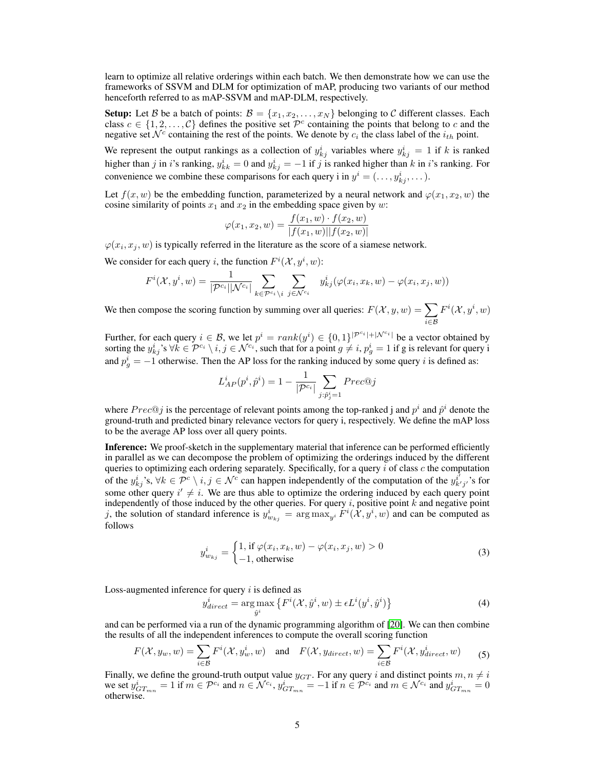learn to optimize all relative orderings within each batch. We then demonstrate how we can use the frameworks of SSVM and DLM for optimization of mAP, producing two variants of our method henceforth referred to as mAP-SSVM and mAP-DLM, respectively.

**Setup:** Let B be a batch of points:  $B = \{x_1, x_2, \ldots, x_N\}$  belonging to C different classes. Each class  $c \in \{1, 2, ..., C\}$  defines the positive set  $\mathcal{P}^c$  containing the points that belong to c and the negative set  $\mathcal{N}^c$  containing the rest of the points. We denote by  $c_i$  the class label of the  $i_{th}$  point.

We represent the output rankings as a collection of  $y_{kj}^i$  variables where  $y_{kj}^i = 1$  if k is ranked higher than j in i's ranking,  $y_{kk}^i = 0$  and  $y_{kj}^i = -1$  if j is ranked higher than k in i's ranking. For convenience we combine these comparisons for each query i in  $y^i = (\ldots, y^i_{kj}, \ldots)$ .

Let  $f(x, w)$  be the embedding function, parameterized by a neural network and  $\varphi(x_1, x_2, w)$  the cosine similarity of points  $x_1$  and  $x_2$  in the embedding space given by w:

<span id="page-4-0"></span>
$$
\varphi(x_1, x_2, w) = \frac{f(x_1, w) \cdot f(x_2, w)}{|f(x_1, w)||f(x_2, w)|}
$$

 $\varphi(x_i, x_j, w)$  is typically referred in the literature as the score of a siamese network.

We consider for each query *i*, the function  $F^i(\mathcal{X}, y^i, w)$ :

$$
F^i(\mathcal{X}, y^i, w) = \frac{1}{|\mathcal{P}^{c_i}| |\mathcal{N}^{c_i}|} \sum_{k \in \mathcal{P}^{c_i} \setminus i} \sum_{j \in \mathcal{N}^{c_i}} y^i_{kj} (\varphi(x_i, x_k, w) - \varphi(x_i, x_j, w))
$$

We then compose the scoring function by summing over all queries:  $F(\mathcal{X}, y, w) = \sum$ i∈B  $F^i(\mathcal{X}, y^i, w)$ 

Further, for each query  $i \in \mathcal{B}$ , we let  $p^i = rank(y^i) \in \{0,1\}^{|\mathcal{P}^{c_i}|+|\mathcal{N}^{c_i}|}$  be a vector obtained by sorting the  $y_{kj}^i$ 's  $\forall k \in \mathcal{P}^{c_i} \setminus i, j \in \mathcal{N}^{c_i}$ , such that for a point  $g \neq i, p_g^i = 1$  if g is relevant for query i and  $p_g^i = -1$  otherwise. Then the AP loss for the ranking induced by some query i is defined as:

$$
L_{AP}^{i}(p^{i},\hat{p}^{i})=1-\frac{1}{|\mathcal{P}^{c_{i}}|}\sum_{j:\hat{p}^{i}_{j}=1}Prec@j
$$

where  $Prec@j$  is the percentage of relevant points among the top-ranked j and  $p^i$  and  $\hat{p}^i$  denote the ground-truth and predicted binary relevance vectors for query i, respectively. We define the mAP loss to be the average AP loss over all query points.

Inference: We proof-sketch in the supplementary material that inference can be performed efficiently in parallel as we can decompose the problem of optimizing the orderings induced by the different queries to optimizing each ordering separately. Specifically, for a query  $i$  of class  $c$  the computation of the  $y_{kj}^i$ 's,  $\forall k \in \mathcal{P}^c \setminus i, j \in \mathcal{N}^c$  can happen independently of the computation of the  $y_{k'j'}^{i'}$ 's for some other query  $i' \neq i$ . We are thus able to optimize the ordering induced by each query point independently of those induced by the other queries. For query  $i$ , positive point  $k$  and negative point j, the solution of standard inference is  $y_{w_{kj}}^i = \arg \max_{y^i} \overline{F^i}(\hat{X}, y^i, w)$  and can be computed as follows

$$
y_{w_{kj}}^i = \begin{cases} 1, \text{ if } \varphi(x_i, x_k, w) - \varphi(x_i, x_j, w) > 0\\ -1, \text{ otherwise} \end{cases}
$$
 (3)

Loss-augmented inference for query  $i$  is defined as

<span id="page-4-2"></span><span id="page-4-1"></span>
$$
y_{direct}^{i} = \underset{\hat{y}^{i}}{\arg \max} \left\{ F^{i}(\mathcal{X}, \hat{y}^{i}, w) \pm \epsilon L^{i}(y^{i}, \hat{y}^{i}) \right\}
$$
(4)

and can be performed via a run of the dynamic programming algorithm of [\[20\]](#page-9-19). We can then combine the results of all the independent inferences to compute the overall scoring function

$$
F(\mathcal{X}, y_w, w) = \sum_{i \in \mathcal{B}} F^i(\mathcal{X}, y_w^i, w) \quad \text{and} \quad F(\mathcal{X}, y_{direct}, w) = \sum_{i \in \mathcal{B}} F^i(\mathcal{X}, y_{direct}^i, w) \tag{5}
$$

Finally, we define the ground-truth output value  $y_{GT}$ . For any query i and distinct points  $m, n \neq i$ we set  $y_{GT_{mn}}^i = 1$  if  $m \in \mathcal{P}^{c_i}$  and  $n \in \mathcal{N}^{c_i}$ ,  $y_{GT_{mn}}^i = -1$  if  $n \in \mathcal{P}^{c_i}$  and  $m \in \mathcal{N}^{c_i}$  and  $y_{GT_{mn}}^i = 0$ otherwise.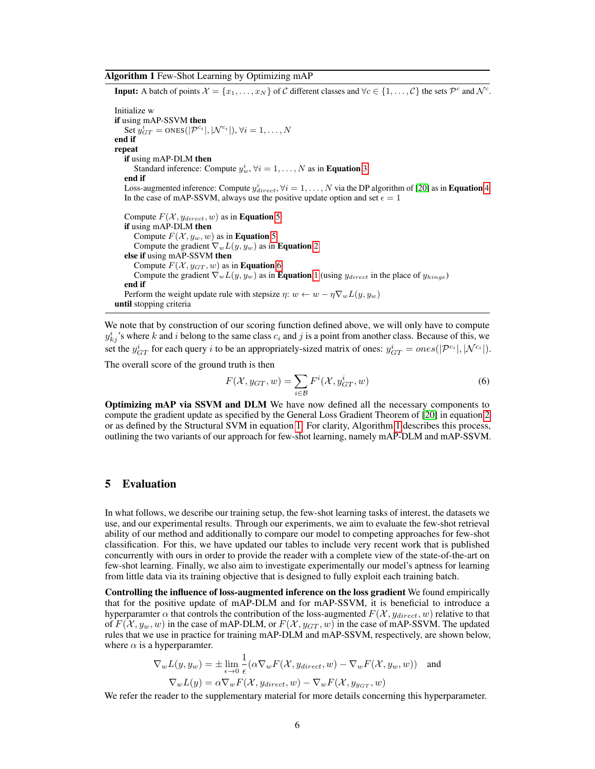<span id="page-5-1"></span>Algorithm 1 Few-Shot Learning by Optimizing mAP

**Input:** A batch of points  $\mathcal{X} = \{x_1, \ldots, x_N\}$  of C different classes and  $\forall c \in \{1, \ldots, C\}$  the sets  $\mathcal{P}^c$  and  $\mathcal{N}^c$ . Initialize w if using mAP-SSVM then Set  $y_{GT}^i = \text{ones}(|\mathcal{P}^{c_i}|, |\mathcal{N}^{c_i}|), \forall i = 1, \dots, N$ end if repeat if using mAP-DLM then Standard inference: Compute  $y_w^i$ ,  $\forall i = 1, ..., N$  as in **Equation** [3](#page-4-0) end if Loss-augmented inference: Compute  $y_{direct}^i$ ,  $\forall i = 1, ..., N$  via the DP algorithm of [\[20\]](#page-9-19) as in **Equation** [4.](#page-4-1) In the case of mAP-SSVM, always use the positive update option and set  $\epsilon = 1$ Compute  $F(\mathcal{X}, y_{direct}, w)$  as in **Equation [5](#page-4-2)** if using mAP-DLM then Compute  $F(\mathcal{X}, y_w, w)$  as in **Equation [5](#page-4-2)** Compute the gradient  $\nabla_w L(y, y_w)$  as in **Equation** [2](#page-3-0) else if using mAP-SSVM then Compute  $F(X, y_{GT}, w)$  as in **Equation** [6](#page-5-0) Compute the gradient  $\nabla_w L(y, y_w)$  as in **Equation** [1](#page-2-0) (using  $y_{direct}$  in the place of  $y_{hinge}$ ) end if Perform the weight update rule with stepsize  $\eta: w \leftarrow w - \eta \nabla_w L(y, y_w)$ until stopping criteria

We note that by construction of our scoring function defined above, we will only have to compute  $y_{kj}^i$ 's where k and i belong to the same class  $c_i$  and j is a point from another class. Because of this, we set the  $y_{GT}^i$  for each query i to be an appropriately-sized matrix of ones:  $y_{GT}^i = ones(|\mathcal{P}^{c_i}|, |\mathcal{N}^{c_i}|).$ 

The overall score of the ground truth is then

<span id="page-5-0"></span>
$$
F(\mathcal{X}, y_{GT}, w) = \sum_{i \in \mathcal{B}} F^i(\mathcal{X}, y_{GT}^i, w)
$$
\n(6)

Optimizing mAP via SSVM and DLM We have now defined all the necessary components to compute the gradient update as specified by the General Loss Gradient Theorem of [\[20\]](#page-9-19) in equation [2](#page-3-0) or as defined by the Structural SVM in equation [1.](#page-2-0) For clarity, Algorithm [1](#page-5-1) describes this process, outlining the two variants of our approach for few-shot learning, namely mAP-DLM and mAP-SSVM.

## 5 Evaluation

In what follows, we describe our training setup, the few-shot learning tasks of interest, the datasets we use, and our experimental results. Through our experiments, we aim to evaluate the few-shot retrieval ability of our method and additionally to compare our model to competing approaches for few-shot classification. For this, we have updated our tables to include very recent work that is published concurrently with ours in order to provide the reader with a complete view of the state-of-the-art on few-shot learning. Finally, we also aim to investigate experimentally our model's aptness for learning from little data via its training objective that is designed to fully exploit each training batch.

Controlling the influence of loss-augmented inference on the loss gradient We found empirically that for the positive update of mAP-DLM and for mAP-SSVM, it is beneficial to introduce a hyperparamter  $\alpha$  that controls the contribution of the loss-augmented  $F(\mathcal{X}, y_{direct}, w)$  relative to that of  $F(\mathcal{X}, y_w, w)$  in the case of mAP-DLM, or  $F(\mathcal{X}, y_{GT}, w)$  in the case of mAP-SSVM. The updated rules that we use in practice for training mAP-DLM and mAP-SSVM, respectively, are shown below, where  $\alpha$  is a hyperparamter.

$$
\nabla_w L(y, y_w) = \pm \lim_{\epsilon \to 0} \frac{1}{\epsilon} (\alpha \nabla_w F(\mathcal{X}, y_{direct}, w) - \nabla_w F(\mathcal{X}, y_w, w)) \text{ and}
$$
  

$$
\nabla_w L(y) = \alpha \nabla_w F(\mathcal{X}, y_{direct}, w) - \nabla_w F(\mathcal{X}, y_{y_{GT}}, w)
$$

We refer the reader to the supplementary material for more details concerning this hyperparameter.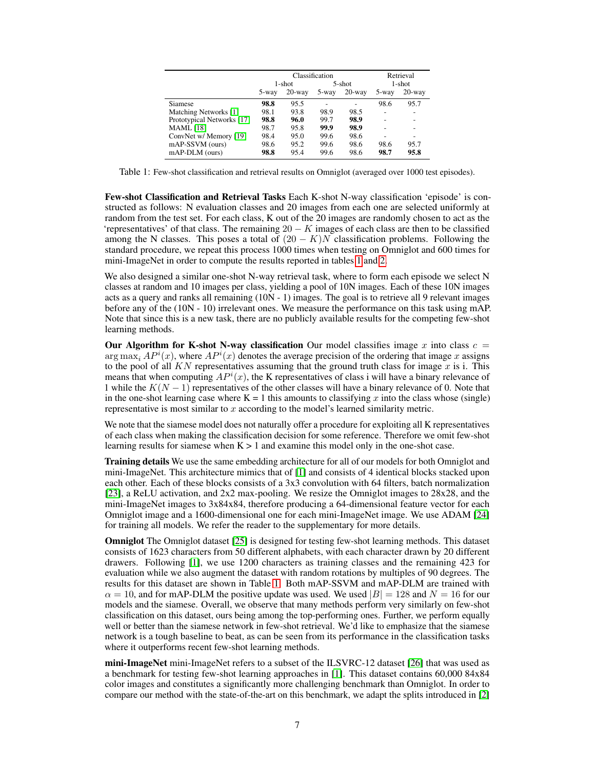<span id="page-6-0"></span>

|                            | Classification |           |        | Retrieval |        |           |
|----------------------------|----------------|-----------|--------|-----------|--------|-----------|
|                            | 1-shot         |           | 5-shot |           | 1-shot |           |
|                            | 5-way          | $20$ -way | 5-way  | $20$ -way | 5-way  | $20$ -way |
| Siamese                    | 98.8           | 95.5      |        |           | 98.6   | 95.7      |
| Matching Networks [1]      | 98.1           | 93.8      | 98.9   | 98.5      |        |           |
| Prototypical Networks [17] | 98.8           | 96.0      | 99.7   | 98.9      |        |           |
| <b>MAML</b> [18]           | 98.7           | 95.8      | 99.9   | 98.9      |        |           |
| ConvNet w/ Memory [19]     | 98.4           | 95.0      | 99.6   | 98.6      |        |           |
| mAP-SSVM (ours)            | 98.6           | 95.2      | 99.6   | 98.6      | 98.6   | 95.7      |
| mAP-DLM (ours)             | 98.8           | 95.4      | 99.6   | 98.6      | 98.7   | 95.8      |

Table 1: Few-shot classification and retrieval results on Omniglot (averaged over 1000 test episodes).

Few-shot Classification and Retrieval Tasks Each K-shot N-way classification 'episode' is constructed as follows: N evaluation classes and 20 images from each one are selected uniformly at random from the test set. For each class, K out of the 20 images are randomly chosen to act as the 'representatives' of that class. The remaining  $20 - K$  images of each class are then to be classified among the N classes. This poses a total of  $(20 - K)N$  classification problems. Following the standard procedure, we repeat this process 1000 times when testing on Omniglot and 600 times for mini-ImageNet in order to compute the results reported in tables [1](#page-6-0) and [2.](#page-7-0)

We also designed a similar one-shot N-way retrieval task, where to form each episode we select N classes at random and 10 images per class, yielding a pool of 10N images. Each of these 10N images acts as a query and ranks all remaining (10N - 1) images. The goal is to retrieve all 9 relevant images before any of the (10N - 10) irrelevant ones. We measure the performance on this task using mAP. Note that since this is a new task, there are no publicly available results for the competing few-shot learning methods.

Our Algorithm for K-shot N-way classification Our model classifies image x into class  $c =$  $\arg \max_i AP^i(x)$ , where  $AP^i(x)$  denotes the average precision of the ordering that image x assigns to the pool of all  $KN$  representatives assuming that the ground truth class for image x is i. This means that when computing  $AP<sup>i</sup>(x)$ , the K representatives of class i will have a binary relevance of 1 while the  $K(N-1)$  representatives of the other classes will have a binary relevance of 0. Note that in the one-shot learning case where  $K = 1$  this amounts to classifying x into the class whose (single) representative is most similar to  $x$  according to the model's learned similarity metric.

We note that the siamese model does not naturally offer a procedure for exploiting all K representatives of each class when making the classification decision for some reference. Therefore we omit few-shot learning results for siamese when  $K > 1$  and examine this model only in the one-shot case.

**Training details** We use the same embedding architecture for all of our models for both Omniglot and mini-ImageNet. This architecture mimics that of [\[1\]](#page-9-0) and consists of 4 identical blocks stacked upon each other. Each of these blocks consists of a 3x3 convolution with 64 filters, batch normalization [\[23\]](#page-10-2), a ReLU activation, and 2x2 max-pooling. We resize the Omniglot images to 28x28, and the mini-ImageNet images to 3x84x84, therefore producing a 64-dimensional feature vector for each Omniglot image and a 1600-dimensional one for each mini-ImageNet image. We use ADAM [\[24\]](#page-10-3) for training all models. We refer the reader to the supplementary for more details.

Omniglot The Omniglot dataset [\[25\]](#page-10-4) is designed for testing few-shot learning methods. This dataset consists of 1623 characters from 50 different alphabets, with each character drawn by 20 different drawers. Following [\[1\]](#page-9-0), we use 1200 characters as training classes and the remaining 423 for evaluation while we also augment the dataset with random rotations by multiples of 90 degrees. The results for this dataset are shown in Table [1.](#page-6-0) Both mAP-SSVM and mAP-DLM are trained with  $\alpha = 10$ , and for mAP-DLM the positive update was used. We used  $|B| = 128$  and  $N = 16$  for our models and the siamese. Overall, we observe that many methods perform very similarly on few-shot classification on this dataset, ours being among the top-performing ones. Further, we perform equally well or better than the siamese network in few-shot retrieval. We'd like to emphasize that the siamese network is a tough baseline to beat, as can be seen from its performance in the classification tasks where it outperforms recent few-shot learning methods.

mini-ImageNet mini-ImageNet refers to a subset of the ILSVRC-12 dataset [\[26\]](#page-10-5) that was used as a benchmark for testing few-shot learning approaches in [\[1\]](#page-9-0). This dataset contains 60,000 84x84 color images and constitutes a significantly more challenging benchmark than Omniglot. In order to compare our method with the state-of-the-art on this benchmark, we adapt the splits introduced in [\[2\]](#page-9-1)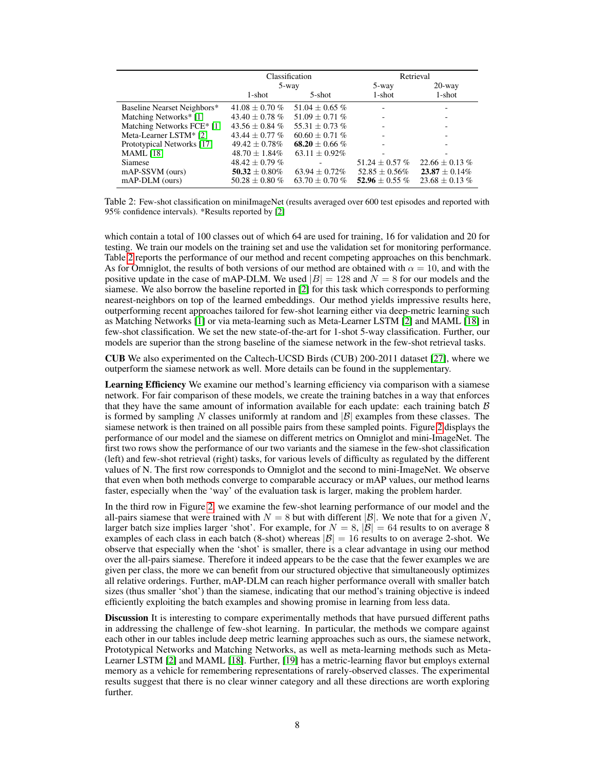<span id="page-7-0"></span>

|                             |                     | Classification      | Retrieval          |                    |
|-----------------------------|---------------------|---------------------|--------------------|--------------------|
|                             | 5-way               |                     | 5-way              | $20$ -way          |
|                             | $1$ -shot           | $5$ -shot           | $1$ -shot          | 1-shot             |
| Baseline Nearset Neighbors* | $41.08 \pm 0.70 \%$ | $51.04 + 0.65\%$    |                    |                    |
| Matching Networks* [1]      | $43.40 \pm 0.78 \%$ | 51.09 $\pm$ 0.71 %  |                    |                    |
| Matching Networks FCE* [1]  | $43.56 \pm 0.84 \%$ | 55.31 $\pm$ 0.73 %  |                    |                    |
| Meta-Learner LSTM* [2]      | $43.44 \pm 0.77$ %  | $60.60 \pm 0.71 \%$ |                    |                    |
| Prototypical Networks [17]  | $49.42 \pm 0.78\%$  | 68.20 $\pm$ 0.66 %  |                    |                    |
| <b>MAML</b> [18]            | $48.70 \pm 1.84\%$  | $63.11 \pm 0.92\%$  |                    |                    |
| Siamese                     | $48.42 \pm 0.79 \%$ |                     | 51.24 $\pm$ 0.57 % | $22.66 \pm 0.13\%$ |
| mAP-SSVM (ours)             | $50.32 \pm 0.80\%$  | $63.94 \pm 0.72\%$  | $52.85 \pm 0.56\%$ | $23.87 \pm 0.14\%$ |
| mAP-DLM (ours)              | $50.28 \pm 0.80 \%$ | $63.70 \pm 0.70 \%$ | 52.96 $\pm$ 0.55 % | $23.68 \pm 0.13\%$ |

Table 2: Few-shot classification on miniImageNet (results averaged over 600 test episodes and reported with 95% confidence intervals). \*Results reported by [\[2\]](#page-9-1)

which contain a total of 100 classes out of which 64 are used for training, 16 for validation and 20 for testing. We train our models on the training set and use the validation set for monitoring performance. Table [2](#page-7-0) reports the performance of our method and recent competing approaches on this benchmark. As for Omniglot, the results of both versions of our method are obtained with  $\alpha = 10$ , and with the positive update in the case of mAP-DLM. We used  $|B| = 128$  and  $N = 8$  for our models and the siamese. We also borrow the baseline reported in [\[2\]](#page-9-1) for this task which corresponds to performing nearest-neighbors on top of the learned embeddings. Our method yields impressive results here, outperforming recent approaches tailored for few-shot learning either via deep-metric learning such as Matching Networks [\[1\]](#page-9-0) or via meta-learning such as Meta-Learner LSTM [\[2\]](#page-9-1) and MAML [\[18\]](#page-9-17) in few-shot classification. We set the new state-of-the-art for 1-shot 5-way classification. Further, our models are superior than the strong baseline of the siamese network in the few-shot retrieval tasks.

CUB We also experimented on the Caltech-UCSD Birds (CUB) 200-2011 dataset [\[27\]](#page-10-6), where we outperform the siamese network as well. More details can be found in the supplementary.

Learning Efficiency We examine our method's learning efficiency via comparison with a siamese network. For fair comparison of these models, we create the training batches in a way that enforces that they have the same amount of information available for each update: each training batch  $\beta$ is formed by sampling N classes uniformly at random and  $|\mathcal{B}|$  examples from these classes. The siamese network is then trained on all possible pairs from these sampled points. Figure [2](#page-8-0) displays the performance of our model and the siamese on different metrics on Omniglot and mini-ImageNet. The first two rows show the performance of our two variants and the siamese in the few-shot classification (left) and few-shot retrieval (right) tasks, for various levels of difficulty as regulated by the different values of N. The first row corresponds to Omniglot and the second to mini-ImageNet. We observe that even when both methods converge to comparable accuracy or mAP values, our method learns faster, especially when the 'way' of the evaluation task is larger, making the problem harder.

In the third row in Figure [2,](#page-8-0) we examine the few-shot learning performance of our model and the all-pairs siamese that were trained with  $N = 8$  but with different  $|\mathcal{B}|$ . We note that for a given N, larger batch size implies larger 'shot'. For example, for  $N = 8$ ,  $|\mathcal{B}| = 64$  results to on average 8 examples of each class in each batch (8-shot) whereas  $|\mathcal{B}| = 16$  results to on average 2-shot. We observe that especially when the 'shot' is smaller, there is a clear advantage in using our method over the all-pairs siamese. Therefore it indeed appears to be the case that the fewer examples we are given per class, the more we can benefit from our structured objective that simultaneously optimizes all relative orderings. Further, mAP-DLM can reach higher performance overall with smaller batch sizes (thus smaller 'shot') than the siamese, indicating that our method's training objective is indeed efficiently exploiting the batch examples and showing promise in learning from less data.

Discussion It is interesting to compare experimentally methods that have pursued different paths in addressing the challenge of few-shot learning. In particular, the methods we compare against each other in our tables include deep metric learning approaches such as ours, the siamese network, Prototypical Networks and Matching Networks, as well as meta-learning methods such as Meta-Learner LSTM [\[2\]](#page-9-1) and MAML [\[18\]](#page-9-17). Further, [\[19\]](#page-9-18) has a metric-learning flavor but employs external memory as a vehicle for remembering representations of rarely-observed classes. The experimental results suggest that there is no clear winner category and all these directions are worth exploring further.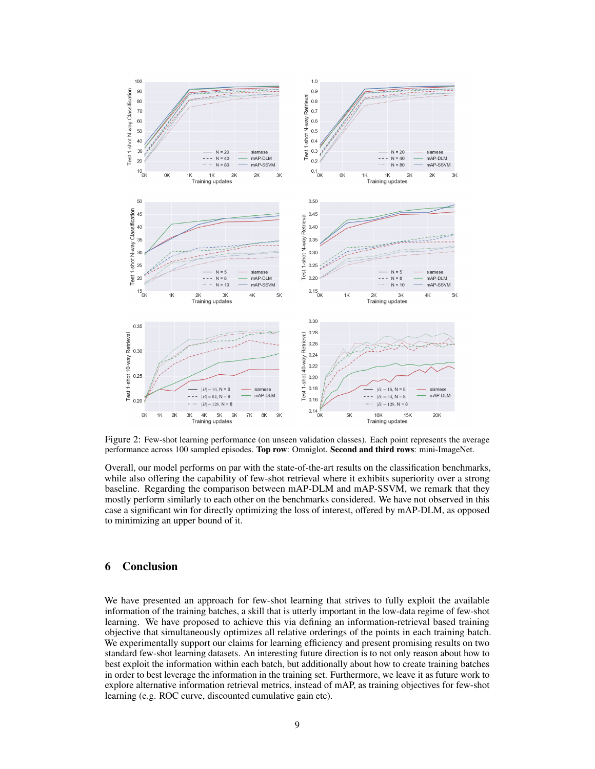<span id="page-8-0"></span>

Figure 2: Few-shot learning performance (on unseen validation classes). Each point represents the average performance across 100 sampled episodes. Top row: Omniglot. Second and third rows: mini-ImageNet.

Overall, our model performs on par with the state-of-the-art results on the classification benchmarks, while also offering the capability of few-shot retrieval where it exhibits superiority over a strong baseline. Regarding the comparison between mAP-DLM and mAP-SSVM, we remark that they mostly perform similarly to each other on the benchmarks considered. We have not observed in this case a significant win for directly optimizing the loss of interest, offered by mAP-DLM, as opposed to minimizing an upper bound of it.

# 6 Conclusion

We have presented an approach for few-shot learning that strives to fully exploit the available information of the training batches, a skill that is utterly important in the low-data regime of few-shot learning. We have proposed to achieve this via defining an information-retrieval based training objective that simultaneously optimizes all relative orderings of the points in each training batch. We experimentally support our claims for learning efficiency and present promising results on two standard few-shot learning datasets. An interesting future direction is to not only reason about how to best exploit the information within each batch, but additionally about how to create training batches in order to best leverage the information in the training set. Furthermore, we leave it as future work to explore alternative information retrieval metrics, instead of mAP, as training objectives for few-shot learning (e.g. ROC curve, discounted cumulative gain etc).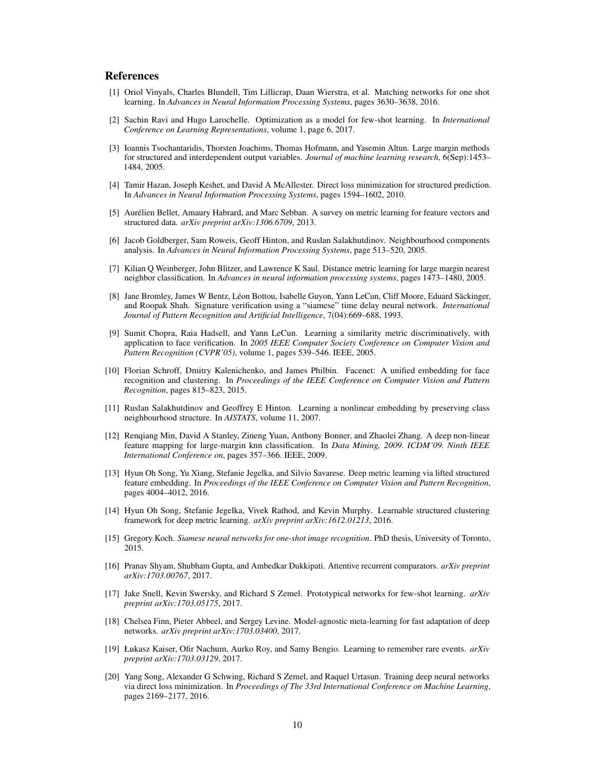## References

- <span id="page-9-0"></span>[1] Oriol Vinyals, Charles Blundell, Tim Lillicrap, Daan Wierstra, et al. Matching networks for one shot learning. In *Advances in Neural Information Processing Systems*, pages 3630–3638, 2016.
- <span id="page-9-1"></span>[2] Sachin Ravi and Hugo Larochelle. Optimization as a model for few-shot learning. In *International Conference on Learning Representations*, volume 1, page 6, 2017.
- <span id="page-9-2"></span>[3] Ioannis Tsochantaridis, Thorsten Joachims, Thomas Hofmann, and Yasemin Altun. Large margin methods for structured and interdependent output variables. *Journal of machine learning research*, 6(Sep):1453– 1484, 2005.
- <span id="page-9-3"></span>[4] Tamir Hazan, Joseph Keshet, and David A McAllester. Direct loss minimization for structured prediction. In *Advances in Neural Information Processing Systems*, pages 1594–1602, 2010.
- <span id="page-9-4"></span>[5] Aurélien Bellet, Amaury Habrard, and Marc Sebban. A survey on metric learning for feature vectors and structured data. *arXiv preprint arXiv:1306.6709*, 2013.
- <span id="page-9-5"></span>[6] Jacob Goldberger, Sam Roweis, Geoff Hinton, and Ruslan Salakhutdinov. Neighbourhood components analysis. In *Advances in Neural Information Processing Systems*, page 513–520, 2005.
- <span id="page-9-6"></span>[7] Kilian Q Weinberger, John Blitzer, and Lawrence K Saul. Distance metric learning for large margin nearest neighbor classification. In *Advances in neural information processing systems*, pages 1473–1480, 2005.
- <span id="page-9-7"></span>[8] Jane Bromley, James W Bentz, Léon Bottou, Isabelle Guyon, Yann LeCun, Cliff Moore, Eduard Säckinger, and Roopak Shah. Signature verification using a "siamese" time delay neural network. *International Journal of Pattern Recognition and Artificial Intelligence*, 7(04):669–688, 1993.
- <span id="page-9-8"></span>[9] Sumit Chopra, Raia Hadsell, and Yann LeCun. Learning a similarity metric discriminatively, with application to face verification. In *2005 IEEE Computer Society Conference on Computer Vision and Pattern Recognition (CVPR'05)*, volume 1, pages 539–546. IEEE, 2005.
- <span id="page-9-9"></span>[10] Florian Schroff, Dmitry Kalenichenko, and James Philbin. Facenet: A unified embedding for face recognition and clustering. In *Proceedings of the IEEE Conference on Computer Vision and Pattern Recognition*, pages 815–823, 2015.
- <span id="page-9-10"></span>[11] Ruslan Salakhutdinov and Geoffrey E Hinton. Learning a nonlinear embedding by preserving class neighbourhood structure. In *AISTATS*, volume 11, 2007.
- <span id="page-9-11"></span>[12] Renqiang Min, David A Stanley, Zineng Yuan, Anthony Bonner, and Zhaolei Zhang. A deep non-linear feature mapping for large-margin knn classification. In *Data Mining, 2009. ICDM'09. Ninth IEEE International Conference on*, pages 357–366. IEEE, 2009.
- <span id="page-9-12"></span>[13] Hyun Oh Song, Yu Xiang, Stefanie Jegelka, and Silvio Savarese. Deep metric learning via lifted structured feature embedding. In *Proceedings of the IEEE Conference on Computer Vision and Pattern Recognition*, pages 4004–4012, 2016.
- <span id="page-9-13"></span>[14] Hyun Oh Song, Stefanie Jegelka, Vivek Rathod, and Kevin Murphy. Learnable structured clustering framework for deep metric learning. *arXiv preprint arXiv:1612.01213*, 2016.
- <span id="page-9-14"></span>[15] Gregory Koch. *Siamese neural networks for one-shot image recognition*. PhD thesis, University of Toronto, 2015.
- <span id="page-9-15"></span>[16] Pranav Shyam, Shubham Gupta, and Ambedkar Dukkipati. Attentive recurrent comparators. *arXiv preprint arXiv:1703.00767*, 2017.
- <span id="page-9-16"></span>[17] Jake Snell, Kevin Swersky, and Richard S Zemel. Prototypical networks for few-shot learning. *arXiv preprint arXiv:1703.05175*, 2017.
- <span id="page-9-17"></span>[18] Chelsea Finn, Pieter Abbeel, and Sergey Levine. Model-agnostic meta-learning for fast adaptation of deep networks. *arXiv preprint arXiv:1703.03400*, 2017.
- <span id="page-9-18"></span>[19] Łukasz Kaiser, Ofir Nachum, Aurko Roy, and Samy Bengio. Learning to remember rare events. *arXiv preprint arXiv:1703.03129*, 2017.
- <span id="page-9-19"></span>[20] Yang Song, Alexander G Schwing, Richard S Zemel, and Raquel Urtasun. Training deep neural networks via direct loss minimization. In *Proceedings of The 33rd International Conference on Machine Learning*, pages 2169–2177, 2016.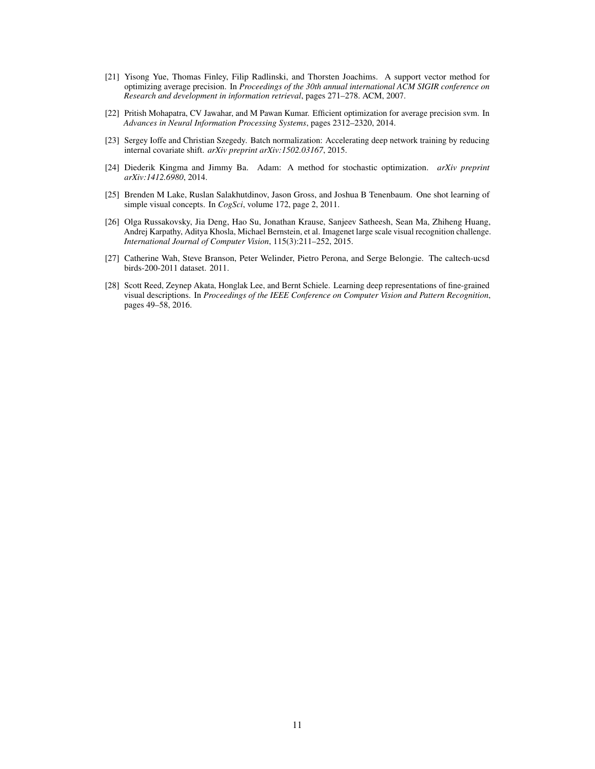- <span id="page-10-0"></span>[21] Yisong Yue, Thomas Finley, Filip Radlinski, and Thorsten Joachims. A support vector method for optimizing average precision. In *Proceedings of the 30th annual international ACM SIGIR conference on Research and development in information retrieval*, pages 271–278. ACM, 2007.
- <span id="page-10-1"></span>[22] Pritish Mohapatra, CV Jawahar, and M Pawan Kumar. Efficient optimization for average precision svm. In *Advances in Neural Information Processing Systems*, pages 2312–2320, 2014.
- <span id="page-10-2"></span>[23] Sergey Ioffe and Christian Szegedy. Batch normalization: Accelerating deep network training by reducing internal covariate shift. *arXiv preprint arXiv:1502.03167*, 2015.
- <span id="page-10-3"></span>[24] Diederik Kingma and Jimmy Ba. Adam: A method for stochastic optimization. *arXiv preprint arXiv:1412.6980*, 2014.
- <span id="page-10-4"></span>[25] Brenden M Lake, Ruslan Salakhutdinov, Jason Gross, and Joshua B Tenenbaum. One shot learning of simple visual concepts. In *CogSci*, volume 172, page 2, 2011.
- <span id="page-10-5"></span>[26] Olga Russakovsky, Jia Deng, Hao Su, Jonathan Krause, Sanjeev Satheesh, Sean Ma, Zhiheng Huang, Andrej Karpathy, Aditya Khosla, Michael Bernstein, et al. Imagenet large scale visual recognition challenge. *International Journal of Computer Vision*, 115(3):211–252, 2015.
- <span id="page-10-6"></span>[27] Catherine Wah, Steve Branson, Peter Welinder, Pietro Perona, and Serge Belongie. The caltech-ucsd birds-200-2011 dataset. 2011.
- <span id="page-10-7"></span>[28] Scott Reed, Zeynep Akata, Honglak Lee, and Bernt Schiele. Learning deep representations of fine-grained visual descriptions. In *Proceedings of the IEEE Conference on Computer Vision and Pattern Recognition*, pages 49–58, 2016.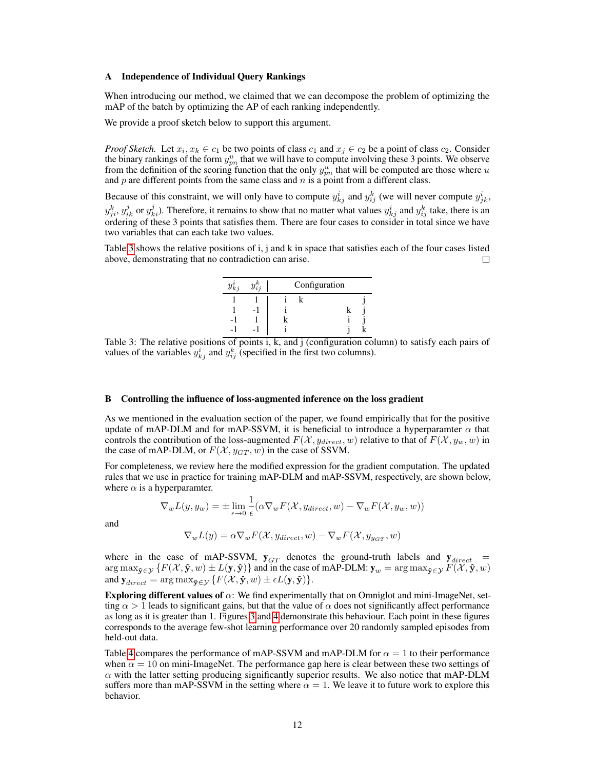#### A Independence of Individual Query Rankings

When introducing our method, we claimed that we can decompose the problem of optimizing the mAP of the batch by optimizing the AP of each ranking independently.

We provide a proof sketch below to support this argument.

*Proof Sketch.* Let  $x_i, x_k \in c_1$  be two points of class  $c_1$  and  $x_j \in c_2$  be a point of class  $c_2$ . Consider the binary rankings of the form  $y_{pn}^u$  that we will have to compute involving these 3 points. We observe from the definition of the scoring function that the only  $y_{pn}^u$  that will be computed are those where u and  $p$  are different points from the same class and  $n$  is a point from a different class.

Because of this constraint, we will only have to compute  $y_{kj}^i$  and  $y_{ij}^k$  (we will never compute  $y_{jk}^i$ ,  $y_{ji}^k$ ,  $y_{ik}^j$  or  $y_{ki}^j$ ). Therefore, it remains to show that no matter what values  $y_{kj}^i$  and  $y_{ij}^k$  take, there is an ordering of these 3 points that satisfies them. There are four cases to consider in total since we have two variables that can each take two values.

<span id="page-11-0"></span>Table [3](#page-11-0) shows the relative positions of i, j and k in space that satisfies each of the four cases listed above, demonstrating that no contradiction can arise. П



Table 3: The relative positions of points i, k, and j (configuration column) to satisfy each pairs of values of the variables  $y_{kj}^i$  and  $y_{ij}^k$  (specified in the first two columns).

#### B Controlling the influence of loss-augmented inference on the loss gradient

As we mentioned in the evaluation section of the paper, we found empirically that for the positive update of mAP-DLM and for mAP-SSVM, it is beneficial to introduce a hyperparamter  $\alpha$  that controls the contribution of the loss-augmented  $F(\mathcal{X}, y_{direct}, w)$  relative to that of  $F(\mathcal{X}, y_w, w)$  in the case of mAP-DLM, or  $F(\mathcal{X}, y_{GT}, w)$  in the case of SSVM.

For completeness, we review here the modified expression for the gradient computation. The updated rules that we use in practice for training mAP-DLM and mAP-SSVM, respectively, are shown below, where  $\alpha$  is a hyperparamter.

$$
\nabla_w L(y, y_w) = \pm \lim_{\epsilon \to 0} \frac{1}{\epsilon} (\alpha \nabla_w F(\mathcal{X}, y_{direct}, w) - \nabla_w F(\mathcal{X}, y_w, w))
$$

and

$$
\nabla_w L(y) = \alpha \nabla_w F(\mathcal{X}, y_{direct}, w) - \nabla_w F(\mathcal{X}, y_{y_{GT}}, w)
$$

where in the case of mAP-SSVM,  $y_{GT}$  denotes the ground-truth labels and  $y_{direct}$  =  $\argmax_{\mathbf{\hat{y}} \in \mathcal{Y}} \{F(\mathcal{X}, \mathbf{\hat{y}}, w) \pm L(\mathbf{y}, \mathbf{\hat{y}})\}$  and in the case of mAP-DLM:  $\mathbf{y}_w = \argmax_{\mathbf{\hat{y}} \in \mathcal{Y}} F(\mathcal{X}, \mathbf{\hat{y}}, w)$ and  $\mathbf{y}_{direct} = \arg \max_{\mathbf{\hat{y}} \in \mathcal{Y}} \{ F(\mathcal{X}, \mathbf{\hat{y}}, w) \pm \epsilon L(\mathbf{y}, \mathbf{\hat{y}}) \}.$ 

**Exploring different values of**  $\alpha$ : We find experimentally that on Omniglot and mini-ImageNet, setting  $\alpha > 1$  leads to significant gains, but that the value of  $\alpha$  does not significantly affect performance as long as it is greater than 1. Figures [3](#page-12-0) and [4](#page-12-1) demonstrate this behaviour. Each point in these figures corresponds to the average few-shot learning performance over 20 randomly sampled episodes from held-out data.

Table [4](#page-12-2) compares the performance of mAP-SSVM and mAP-DLM for  $\alpha = 1$  to their performance when  $\alpha = 10$  on mini-ImageNet. The performance gap here is clear between these two settings of  $\alpha$  with the latter setting producing significantly superior results. We also notice that mAP-DLM suffers more than mAP-SSVM in the setting where  $\alpha = 1$ . We leave it to future work to explore this behavior.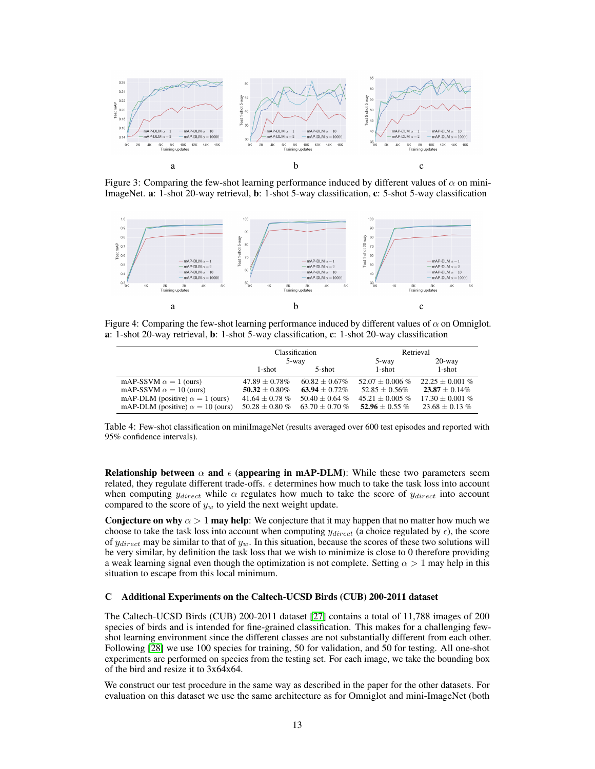<span id="page-12-0"></span>

Figure 3: Comparing the few-shot learning performance induced by different values of  $\alpha$  on mini-ImageNet. a: 1-shot 20-way retrieval, b: 1-shot 5-way classification, c: 5-shot 5-way classification

<span id="page-12-1"></span>

Figure 4: Comparing the few-shot learning performance induced by different values of  $\alpha$  on Omniglot. a: 1-shot 20-way retrieval, b: 1-shot 5-way classification, c: 1-shot 20-way classification

<span id="page-12-2"></span>

|                                         |                     | Classification      | Retrieval            |                      |  |
|-----------------------------------------|---------------------|---------------------|----------------------|----------------------|--|
|                                         | 5-way               |                     | 5-way                | $20$ -way            |  |
|                                         | 1-shot              | 5-shot              | 1-shot               | $1$ -shot            |  |
| mAP-SSVM $\alpha = 1$ (ours)            | $47.89 \pm 0.78\%$  | $60.82 \pm 0.67\%$  | $52.07 \pm 0.006 \%$ | $22.25 + 0.001\%$    |  |
| mAP-SSVM $\alpha = 10$ (ours)           | $50.32 \pm 0.80\%$  | $63.94 + 0.72\%$    | $52.85 \pm 0.56\%$   | $23.87 \pm 0.14\%$   |  |
| mAP-DLM (positive) $\alpha = 1$ (ours)  | $41.64 \pm 0.78 \%$ | $50.40 \pm 0.64 \%$ | $45.21 \pm 0.005 \%$ | $17.30 \pm 0.001 \%$ |  |
| mAP-DLM (positive) $\alpha = 10$ (ours) | $50.28 \pm 0.80 \%$ | 63.70 $\pm$ 0.70 %  | 52.96 $\pm$ 0.55 %   | $23.68 \pm 0.13$ %   |  |

Table 4: Few-shot classification on miniImageNet (results averaged over 600 test episodes and reported with 95% confidence intervals).

**Relationship between**  $\alpha$  and  $\epsilon$  (appearing in mAP-DLM): While these two parameters seem related, they regulate different trade-offs.  $\epsilon$  determines how much to take the task loss into account when computing  $y_{direct}$  while  $\alpha$  regulates how much to take the score of  $y_{direct}$  into account compared to the score of  $y_w$  to yield the next weight update.

**Conjecture on why**  $\alpha > 1$  may help: We conjecture that it may happen that no matter how much we choose to take the task loss into account when computing  $y_{direct}$  (a choice regulated by  $\epsilon$ ), the score of  $y_{direct}$  may be similar to that of  $y_w$ . In this situation, because the scores of these two solutions will be very similar, by definition the task loss that we wish to minimize is close to 0 therefore providing a weak learning signal even though the optimization is not complete. Setting  $\alpha > 1$  may help in this situation to escape from this local minimum.

## C Additional Experiments on the Caltech-UCSD Birds (CUB) 200-2011 dataset

The Caltech-UCSD Birds (CUB) 200-2011 dataset [\[27\]](#page-10-6) contains a total of 11,788 images of 200 species of birds and is intended for fine-grained classification. This makes for a challenging fewshot learning environment since the different classes are not substantially different from each other. Following [\[28\]](#page-10-7) we use 100 species for training, 50 for validation, and 50 for testing. All one-shot experiments are performed on species from the testing set. For each image, we take the bounding box of the bird and resize it to 3x64x64.

We construct our test procedure in the same way as described in the paper for the other datasets. For evaluation on this dataset we use the same architecture as for Omniglot and mini-ImageNet (both